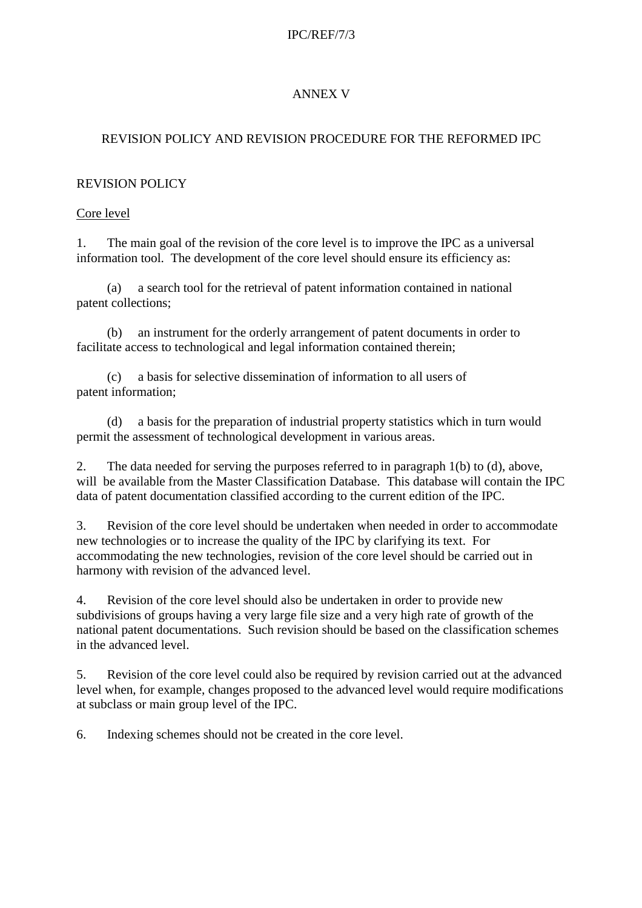#### IPC/REF/7/3

## ANNEX V

### REVISION POLICY AND REVISION PROCEDURE FOR THE REFORMED IPC

#### REVISION POLICY

#### Core level

1. The main goal of the revision of the core level is to improve the IPC as a universal information tool. The development of the core level should ensure its efficiency as:

(a) a search tool for the retrieval of patent information contained in national patent collections;

(b) an instrument for the orderly arrangement of patent documents in order to facilitate access to technological and legal information contained therein;

(c) a basis for selective dissemination of information to all users of patent information;

(d) a basis for the preparation of industrial property statistics which in turn would permit the assessment of technological development in various areas.

2. The data needed for serving the purposes referred to in paragraph 1(b) to (d), above, will be available from the Master Classification Database. This database will contain the IPC data of patent documentation classified according to the current edition of the IPC.

3. Revision of the core level should be undertaken when needed in order to accommodate new technologies or to increase the quality of the IPC by clarifying its text. For accommodating the new technologies, revision of the core level should be carried out in harmony with revision of the advanced level.

4. Revision of the core level should also be undertaken in order to provide new subdivisions of groups having a very large file size and a very high rate of growth of the national patent documentations. Such revision should be based on the classification schemes in the advanced level.

5. Revision of the core level could also be required by revision carried out at the advanced level when, for example, changes proposed to the advanced level would require modifications at subclass or main group level of the IPC.

6. Indexing schemes should not be created in the core level.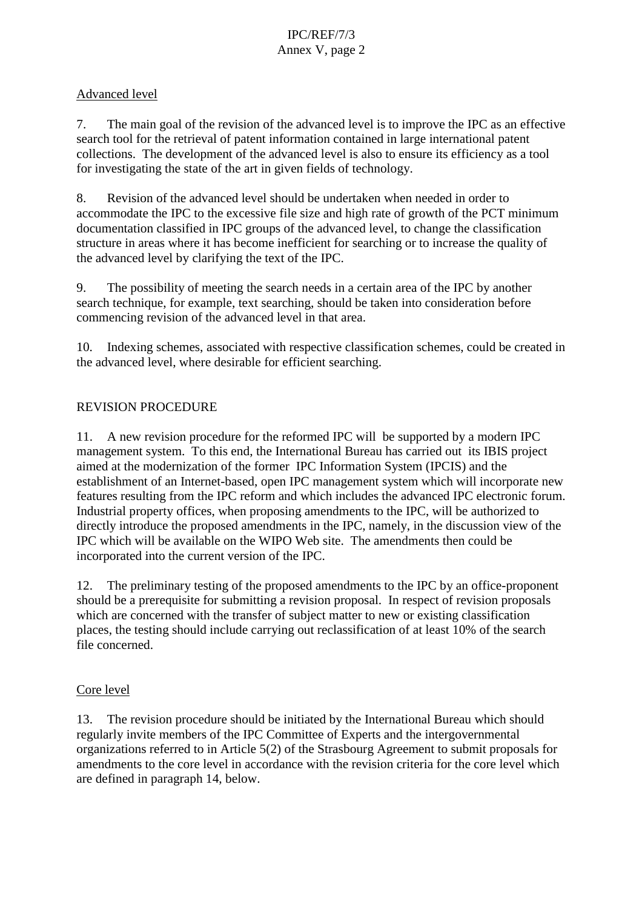#### Advanced level

7. The main goal of the revision of the advanced level is to improve the IPC as an effective search tool for the retrieval of patent information contained in large international patent collections. The development of the advanced level is also to ensure its efficiency as a tool for investigating the state of the art in given fields of technology.

8. Revision of the advanced level should be undertaken when needed in order to accommodate the IPC to the excessive file size and high rate of growth of the PCT minimum documentation classified in IPC groups of the advanced level, to change the classification structure in areas where it has become inefficient for searching or to increase the quality of the advanced level by clarifying the text of the IPC.

9. The possibility of meeting the search needs in a certain area of the IPC by another search technique, for example, text searching, should be taken into consideration before commencing revision of the advanced level in that area.

10. Indexing schemes, associated with respective classification schemes, could be created in the advanced level, where desirable for efficient searching.

### REVISION PROCEDURE

11. A new revision procedure for the reformed IPC will be supported by a modern IPC management system. To this end, the International Bureau has carried out its IBIS project aimed at the modernization of the former IPC Information System (IPCIS) and the establishment of an Internet-based, open IPC management system which will incorporate new features resulting from the IPC reform and which includes the advanced IPC electronic forum. Industrial property offices, when proposing amendments to the IPC, will be authorized to directly introduce the proposed amendments in the IPC, namely, in the discussion view of the IPC which will be available on the WIPO Web site. The amendments then could be incorporated into the current version of the IPC.

12. The preliminary testing of the proposed amendments to the IPC by an office-proponent should be a prerequisite for submitting a revision proposal. In respect of revision proposals which are concerned with the transfer of subject matter to new or existing classification places, the testing should include carrying out reclassification of at least 10% of the search file concerned.

#### Core level

13. The revision procedure should be initiated by the International Bureau which should regularly invite members of the IPC Committee of Experts and the intergovernmental organizations referred to in Article 5(2) of the Strasbourg Agreement to submit proposals for amendments to the core level in accordance with the revision criteria for the core level which are defined in paragraph 14, below.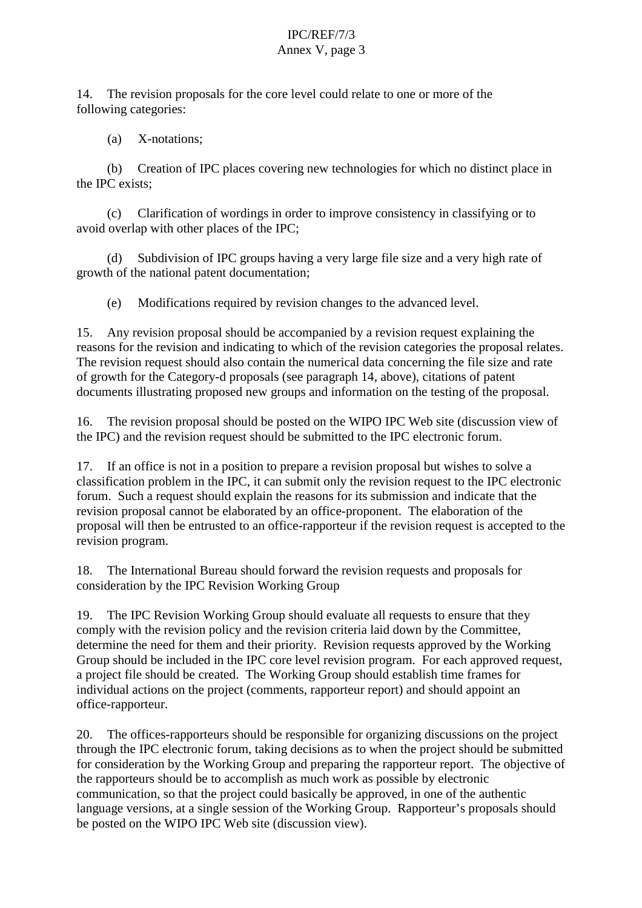14. The revision proposals for the core level could relate to one or more of the following categories:

(a) X-notations;

(b) Creation of IPC places covering new technologies for which no distinct place in the IPC exists;

(c) Clarification of wordings in order to improve consistency in classifying or to avoid overlap with other places of the IPC;

(d) Subdivision of IPC groups having a very large file size and a very high rate of growth of the national patent documentation;

(e) Modifications required by revision changes to the advanced level.

15. Any revision proposal should be accompanied by a revision request explaining the reasons for the revision and indicating to which of the revision categories the proposal relates. The revision request should also contain the numerical data concerning the file size and rate of growth for the Category-d proposals (see paragraph 14, above), citations of patent documents illustrating proposed new groups and information on the testing of the proposal.

16. The revision proposal should be posted on the WIPO IPC Web site (discussion view of the IPC) and the revision request should be submitted to the IPC electronic forum.

17. If an office is not in a position to prepare a revision proposal but wishes to solve a classification problem in the IPC, it can submit only the revision request to the IPC electronic forum. Such a request should explain the reasons for its submission and indicate that the revision proposal cannot be elaborated by an office-proponent. The elaboration of the proposal will then be entrusted to an office-rapporteur if the revision request is accepted to the revision program.

18. The International Bureau should forward the revision requests and proposals for consideration by the IPC Revision Working Group

19. The IPC Revision Working Group should evaluate all requests to ensure that they comply with the revision policy and the revision criteria laid down by the Committee, determine the need for them and their priority. Revision requests approved by the Working Group should be included in the IPC core level revision program. For each approved request, a project file should be created. The Working Group should establish time frames for individual actions on the project (comments, rapporteur report) and should appoint an office-rapporteur.

20. The offices-rapporteurs should be responsible for organizing discussions on the project through the IPC electronic forum, taking decisions as to when the project should be submitted for consideration by the Working Group and preparing the rapporteur report. The objective of the rapporteurs should be to accomplish as much work as possible by electronic communication, so that the project could basically be approved, in one of the authentic language versions, at a single session of the Working Group. Rapporteur's proposals should be posted on the WIPO IPC Web site (discussion view).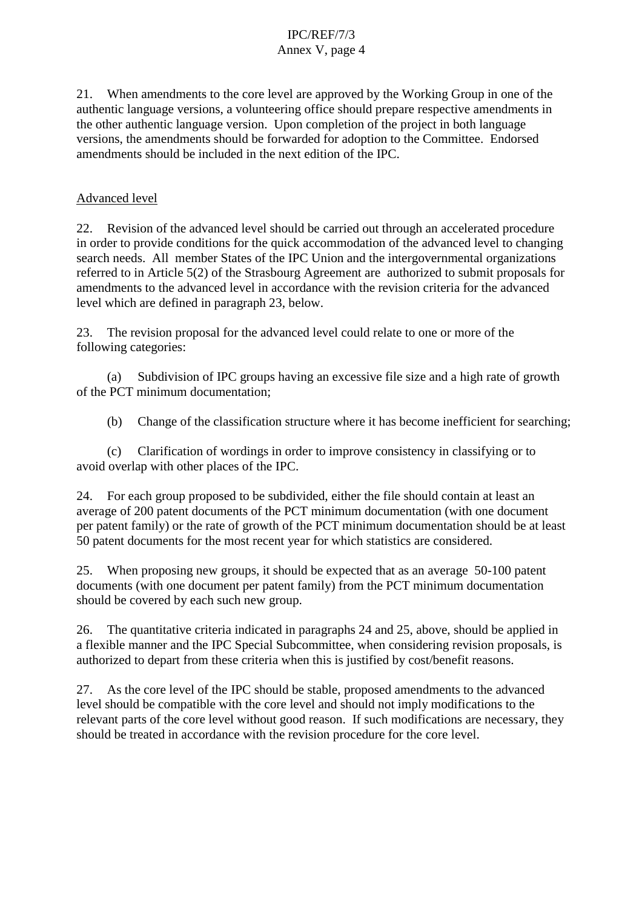21. When amendments to the core level are approved by the Working Group in one of the authentic language versions, a volunteering office should prepare respective amendments in the other authentic language version. Upon completion of the project in both language versions, the amendments should be forwarded for adoption to the Committee. Endorsed amendments should be included in the next edition of the IPC.

#### Advanced level

22. Revision of the advanced level should be carried out through an accelerated procedure in order to provide conditions for the quick accommodation of the advanced level to changing search needs. All member States of the IPC Union and the intergovernmental organizations referred to in Article 5(2) of the Strasbourg Agreement are authorized to submit proposals for amendments to the advanced level in accordance with the revision criteria for the advanced level which are defined in paragraph 23, below.

23. The revision proposal for the advanced level could relate to one or more of the following categories:

(a) Subdivision of IPC groups having an excessive file size and a high rate of growth of the PCT minimum documentation;

(b) Change of the classification structure where it has become inefficient for searching;

(c) Clarification of wordings in order to improve consistency in classifying or to avoid overlap with other places of the IPC.

24. For each group proposed to be subdivided, either the file should contain at least an average of 200 patent documents of the PCT minimum documentation (with one document per patent family) or the rate of growth of the PCT minimum documentation should be at least 50 patent documents for the most recent year for which statistics are considered.

25. When proposing new groups, it should be expected that as an average 50-100 patent documents (with one document per patent family) from the PCT minimum documentation should be covered by each such new group.

26. The quantitative criteria indicated in paragraphs 24 and 25, above, should be applied in a flexible manner and the IPC Special Subcommittee, when considering revision proposals, is authorized to depart from these criteria when this is justified by cost/benefit reasons.

27. As the core level of the IPC should be stable, proposed amendments to the advanced level should be compatible with the core level and should not imply modifications to the relevant parts of the core level without good reason. If such modifications are necessary, they should be treated in accordance with the revision procedure for the core level.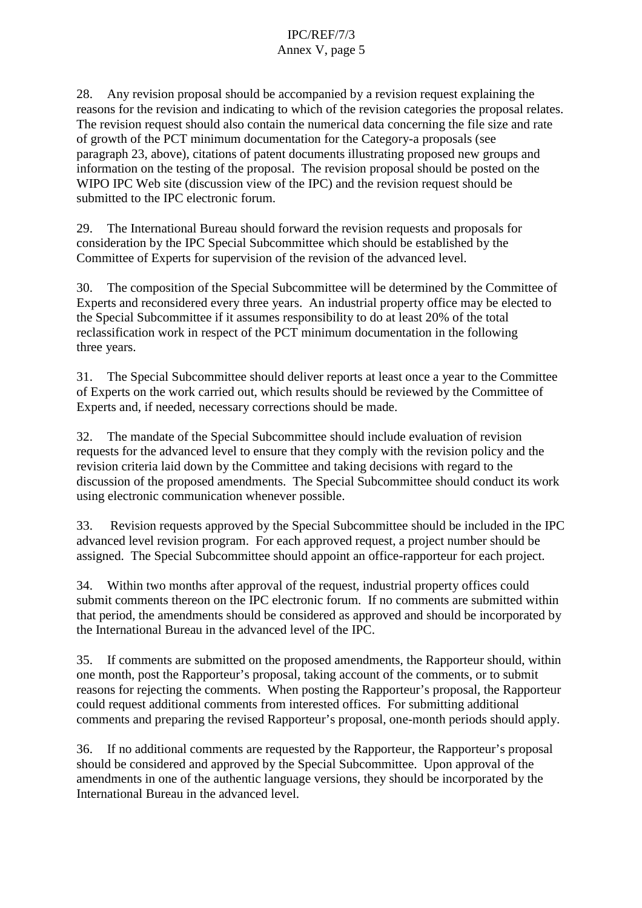28. Any revision proposal should be accompanied by a revision request explaining the reasons for the revision and indicating to which of the revision categories the proposal relates. The revision request should also contain the numerical data concerning the file size and rate of growth of the PCT minimum documentation for the Category-a proposals (see paragraph 23, above), citations of patent documents illustrating proposed new groups and information on the testing of the proposal. The revision proposal should be posted on the WIPO IPC Web site (discussion view of the IPC) and the revision request should be submitted to the IPC electronic forum.

29. The International Bureau should forward the revision requests and proposals for consideration by the IPC Special Subcommittee which should be established by the Committee of Experts for supervision of the revision of the advanced level.

30. The composition of the Special Subcommittee will be determined by the Committee of Experts and reconsidered every three years. An industrial property office may be elected to the Special Subcommittee if it assumes responsibility to do at least 20% of the total reclassification work in respect of the PCT minimum documentation in the following three years.

31. The Special Subcommittee should deliver reports at least once a year to the Committee of Experts on the work carried out, which results should be reviewed by the Committee of Experts and, if needed, necessary corrections should be made.

32. The mandate of the Special Subcommittee should include evaluation of revision requests for the advanced level to ensure that they comply with the revision policy and the revision criteria laid down by the Committee and taking decisions with regard to the discussion of the proposed amendments. The Special Subcommittee should conduct its work using electronic communication whenever possible.

33. Revision requests approved by the Special Subcommittee should be included in the IPC advanced level revision program. For each approved request, a project number should be assigned. The Special Subcommittee should appoint an office-rapporteur for each project.

34. Within two months after approval of the request, industrial property offices could submit comments thereon on the IPC electronic forum. If no comments are submitted within that period, the amendments should be considered as approved and should be incorporated by the International Bureau in the advanced level of the IPC.

35. If comments are submitted on the proposed amendments, the Rapporteur should, within one month, post the Rapporteur's proposal, taking account of the comments, or to submit reasons for rejecting the comments. When posting the Rapporteur's proposal, the Rapporteur could request additional comments from interested offices. For submitting additional comments and preparing the revised Rapporteur's proposal, one-month periods should apply.

36. If no additional comments are requested by the Rapporteur, the Rapporteur's proposal should be considered and approved by the Special Subcommittee. Upon approval of the amendments in one of the authentic language versions, they should be incorporated by the International Bureau in the advanced level.